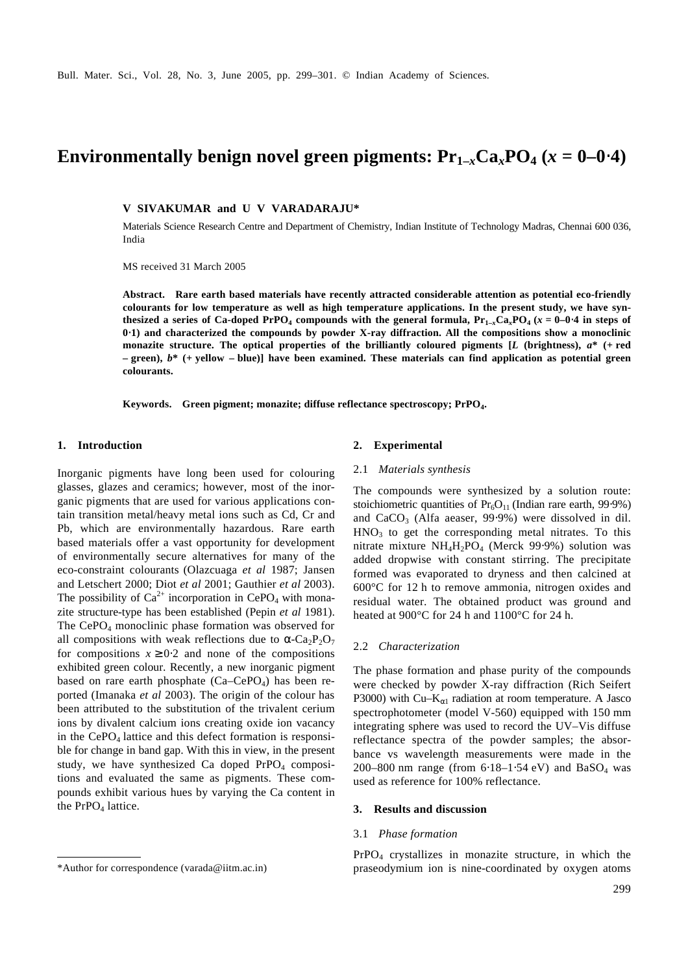# **Environmentally benign novel green pigments:**  $Pr_{1-x}Ca_xPO_4$  **(** $x = 0-0.4$ **)**

**V SIVAKUMAR and U V VARADARAJU\***

Materials Science Research Centre and Department of Chemistry, Indian Institute of Technology Madras, Chennai 600 036, India

MS received 31 March 2005

**Abstract. Rare earth based materials have recently attracted considerable attention as potential eco-friendly colourants for low temperature as well as high temperature applications. In the present study, we have synthesized a series of Ca-doped PrPO<sub>4</sub> compounds with the general formula,**  $Pr_{1-x}Ca_xPO_4$  $(x = 0-0.4$  **in steps of 0**⋅**1) and characterized the compounds by powder X-ray diffraction. All the compositions show a monoclinic monazite structure. The optical properties of the brilliantly coloured pigments [***L* **(brightness),** *a***\* (+ red – green),** *b***\* (+ yellow – blue)] have been examined. These materials can find application as potential green colourants.**

**Keywords. Green pigment; monazite; diffuse reflectance spectroscopy; PrPO<sup>4</sup> .**

#### **1. Introduction**

Inorganic pigments have long been used for colouring glasses, glazes and ceramics; however, most of the inorganic pigments that are used for various applications contain transition metal/heavy metal ions such as Cd, Cr and Pb, which are environmentally hazardous. Rare earth based materials offer a vast opportunity for development of environmentally secure alternatives for many of the eco-constraint colourants (Olazcuaga *et al* 1987; Jansen and Letschert 2000; Diot *et al* 2001; Gauthier *et al* 2003). The possibility of  $Ca^{2+}$  incorporation in CePO<sub>4</sub> with monazite structure-type has been established (Pepin *et al* 1981). The  $CePO<sub>4</sub>$  monoclinic phase formation was observed for all compositions with weak reflections due to  $a - \text{Ca}_2\text{P}_2\text{O}_7$ for compositions  $x \geq 0.2$  and none of the compositions exhibited green colour. Recently, a new inorganic pigment based on rare earth phosphate  $(Ca-CePO<sub>4</sub>)$  has been reported (Imanaka *et al* 2003). The origin of the colour has been attributed to the substitution of the trivalent cerium ions by divalent calcium ions creating oxide ion vacancy in the  $CePO<sub>4</sub>$  lattice and this defect formation is responsible for change in band gap. With this in view, in the present study, we have synthesized Ca doped  $PrPO<sub>4</sub>$  compositions and evaluated the same as pigments. These compounds exhibit various hues by varying the Ca content in the  $PrPO<sub>4</sub>$  lattice.

#### **2. Experimental**

#### 2.1 *Materials synthesis*

The compounds were synthesized by a solution route: stoichiometric quantities of  $Pr<sub>6</sub>O<sub>11</sub>$  (Indian rare earth, 99⋅9%) and  $CaCO<sub>3</sub>$  (Alfa aeaser, 99⋅9%) were dissolved in dil.  $HNO<sub>3</sub>$  to get the corresponding metal nitrates. To this nitrate mixture  $NH_4H_2PO_4$  (Merck 99⋅9%) solution was added dropwise with constant stirring. The precipitate formed was evaporated to dryness and then calcined at 600°C for 12 h to remove ammonia, nitrogen oxides and residual water. The obtained product was ground and heated at 900°C for 24 h and 1100°C for 24 h.

## 2.2 *Characterization*

The phase formation and phase purity of the compounds were checked by powder X-ray diffraction (Rich Seifert P3000) with Cu–K*<sup>a</sup>*1 radiation at room temperature. A Jasco spectrophotometer (model V-560) equipped with 150 mm integrating sphere was used to record the UV–Vis diffuse reflectance spectra of the powder samples; the absorbance vs wavelength measurements were made in the 200–800 nm range (from  $6.18-1.54$  eV) and BaSO<sub>4</sub> was used as reference for 100% reflectance.

## **3. Results and discussion**

## 3.1 *Phase formation*

PrPO4 crystallizes in monazite structure, in which the \*Author for correspondence (varada@iitm.ac.in) praseodymium ion is nine-coordinated by oxygen atoms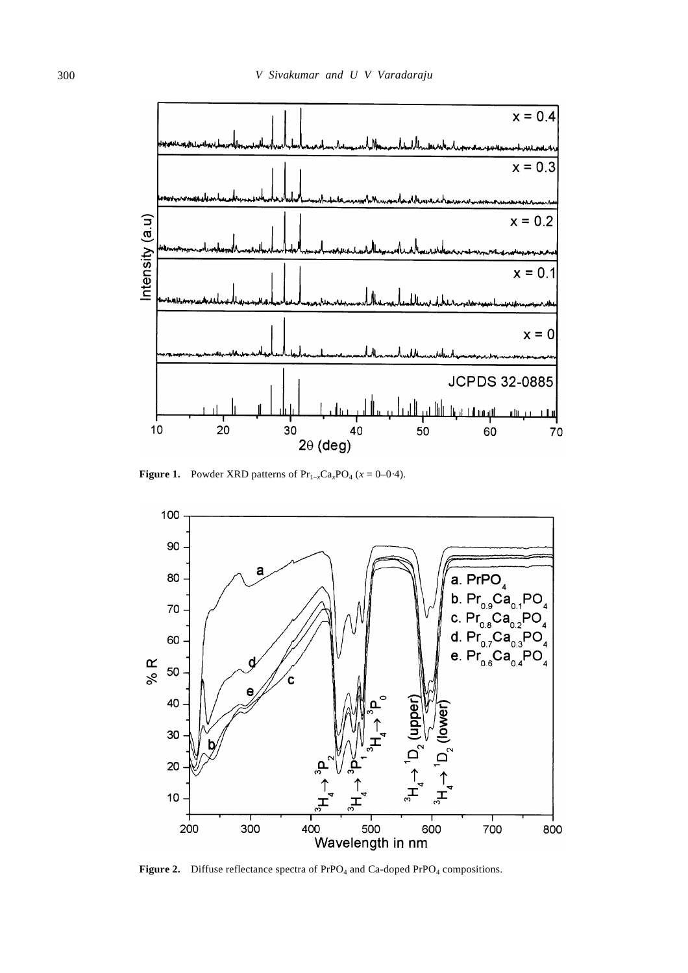

**Figure 1.** Powder XRD patterns of  $Pr_{1-x}Ca_xPO_4$  ( $x = 0-0.4$ ).



**Figure 2.** Diffuse reflectance spectra of  $PrPO_4$  and  $Ca$ -doped  $PrPO_4$  compositions.